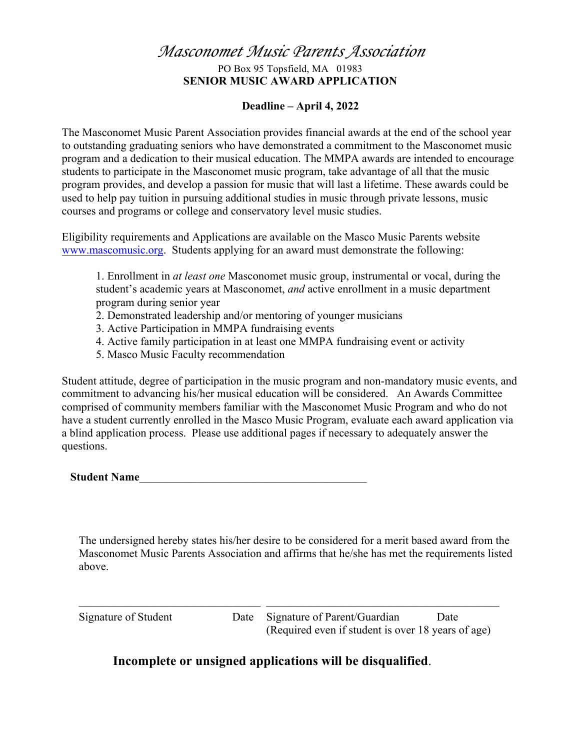## *Masconomet Music Parents Association* PO Box 95 Topsfield, MA 01983 **SENIOR MUSIC AWARD APPLICATION**

#### **Deadline – April 4, 2022**

The Masconomet Music Parent Association provides financial awards at the end of the school year to outstanding graduating seniors who have demonstrated a commitment to the Masconomet music program and a dedication to their musical education. The MMPA awards are intended to encourage students to participate in the Masconomet music program, take advantage of all that the music program provides, and develop a passion for music that will last a lifetime. These awards could be used to help pay tuition in pursuing additional studies in music through private lessons, music courses and programs or college and conservatory level music studies.

Eligibility requirements and Applications are available on the Masco Music Parents website www.mascomusic.org. Students applying for an award must demonstrate the following:

1. Enrollment in *at least one* Masconomet music group, instrumental or vocal, during the student's academic years at Masconomet, *and* active enrollment in a music department program during senior year

- 2. Demonstrated leadership and/or mentoring of younger musicians
- 3. Active Participation in MMPA fundraising events
- 4. Active family participation in at least one MMPA fundraising event or activity
- 5. Masco Music Faculty recommendation

Student attitude, degree of participation in the music program and non-mandatory music events, and commitment to advancing his/her musical education will be considered. An Awards Committee comprised of community members familiar with the Masconomet Music Program and who do not have a student currently enrolled in the Masco Music Program, evaluate each award application via a blind application process. Please use additional pages if necessary to adequately answer the questions.

**Student Name**\_\_\_\_\_\_\_\_\_\_\_\_\_\_\_\_\_\_\_\_\_\_\_\_\_\_\_\_\_\_\_\_\_\_\_\_\_\_\_\_

The undersigned hereby states his/her desire to be considered for a merit based award from the Masconomet Music Parents Association and affirms that he/she has met the requirements listed above.

 $\mathcal{L}_\text{max}$  , and the contribution of the contribution of the contribution of the contribution of the contribution of the contribution of the contribution of the contribution of the contribution of the contribution of t

Signature of Student Date Signature of Parent/Guardian Date (Required even if student is over 18 years of age)

### **Incomplete or unsigned applications will be disqualified**.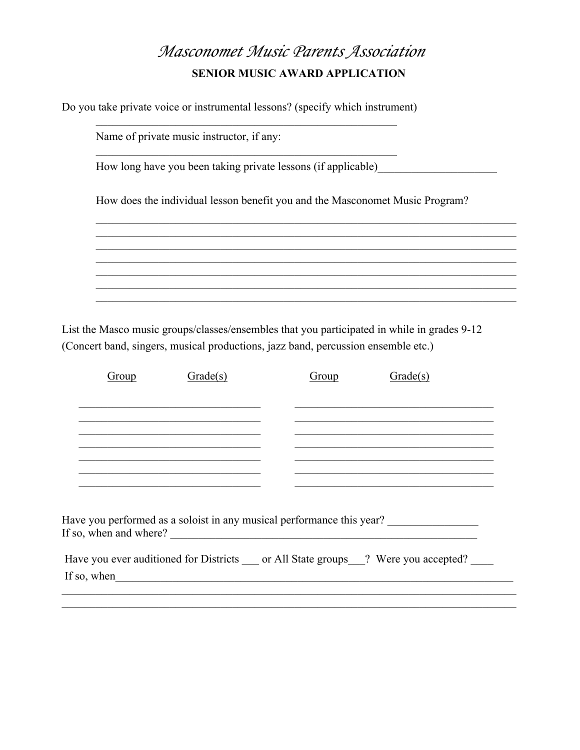# Masconomet Music Parents Association **SENIOR MUSIC AWARD APPLICATION**

Do you take private voice or instrumental lessons? (specify which instrument)

| Name of private music instructor, if any:                                    |
|------------------------------------------------------------------------------|
| How long have you been taking private lessons (if applicable)                |
| How does the individual lesson benefit you and the Masconomet Music Program? |
|                                                                              |
|                                                                              |
|                                                                              |

List the Masco music groups/classes/ensembles that you participated in while in grades 9-12 (Concert band, singers, musical productions, jazz band, percussion ensemble etc.)

| Group | Grade(s)                                                                                                                                                                                                                             | Group | Grade(s)                                                                                                               |
|-------|--------------------------------------------------------------------------------------------------------------------------------------------------------------------------------------------------------------------------------------|-------|------------------------------------------------------------------------------------------------------------------------|
|       |                                                                                                                                                                                                                                      |       |                                                                                                                        |
|       |                                                                                                                                                                                                                                      |       |                                                                                                                        |
|       |                                                                                                                                                                                                                                      |       |                                                                                                                        |
|       |                                                                                                                                                                                                                                      |       |                                                                                                                        |
|       |                                                                                                                                                                                                                                      |       | <u> 1989 - Johann John Harry Harry Harry Harry Harry Harry Harry Harry Harry Harry Harry Harry Harry Harry Harry H</u> |
|       |                                                                                                                                                                                                                                      |       |                                                                                                                        |
|       |                                                                                                                                                                                                                                      |       |                                                                                                                        |
|       |                                                                                                                                                                                                                                      |       | Have you performed as a soloist in any musical performance this year?                                                  |
|       |                                                                                                                                                                                                                                      |       | Have you ever auditioned for Districts or All State groups ? Were you accepted?                                        |
|       | If so, when <u>the same set of the same set of the same set of the same set of the same set of the same set of the same set of the same set of the same set of the same set of the same set of the same set of the same set of t</u> |       |                                                                                                                        |
|       |                                                                                                                                                                                                                                      |       |                                                                                                                        |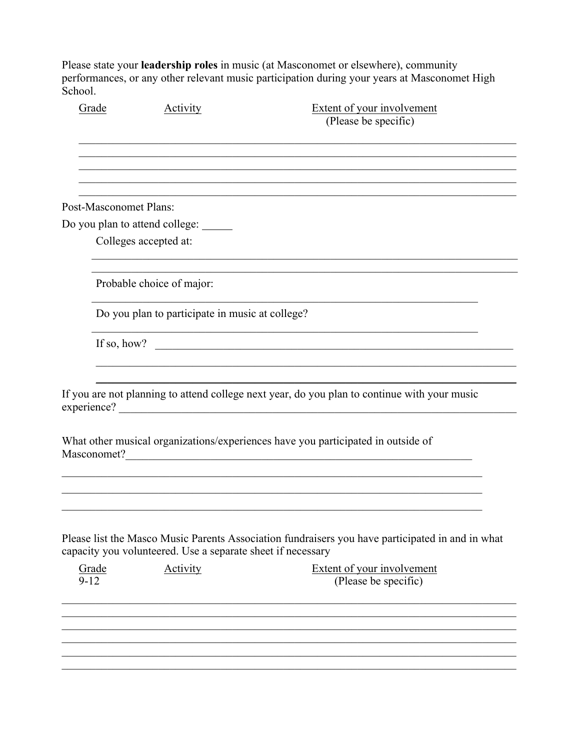Please state your leadership roles in music (at Masconomet or elsewhere), community performances, or any other relevant music participation during your years at Masconomet High School.

| Grade                         | <b>Activity</b>                                             | <b>Extent of your involvement</b><br>(Please be specific)                                        |
|-------------------------------|-------------------------------------------------------------|--------------------------------------------------------------------------------------------------|
|                               |                                                             |                                                                                                  |
| <b>Post-Masconomet Plans:</b> |                                                             |                                                                                                  |
|                               | Do you plan to attend college: ______                       |                                                                                                  |
|                               | Colleges accepted at:                                       |                                                                                                  |
|                               | Probable choice of major:                                   |                                                                                                  |
|                               | Do you plan to participate in music at college?             |                                                                                                  |
| If so, how?                   |                                                             |                                                                                                  |
| experience?                   |                                                             | If you are not planning to attend college next year, do you plan to continue with your music     |
| Masconomet?                   |                                                             | What other musical organizations/experiences have you participated in outside of                 |
|                               |                                                             |                                                                                                  |
|                               | capacity you volunteered. Use a separate sheet if necessary | Please list the Masco Music Parents Association fundraisers you have participated in and in what |
| Grade<br>$9 - 12$             | Activity                                                    | <b>Extent of your involvement</b><br>(Please be specific)                                        |
|                               |                                                             |                                                                                                  |
|                               |                                                             |                                                                                                  |
|                               |                                                             |                                                                                                  |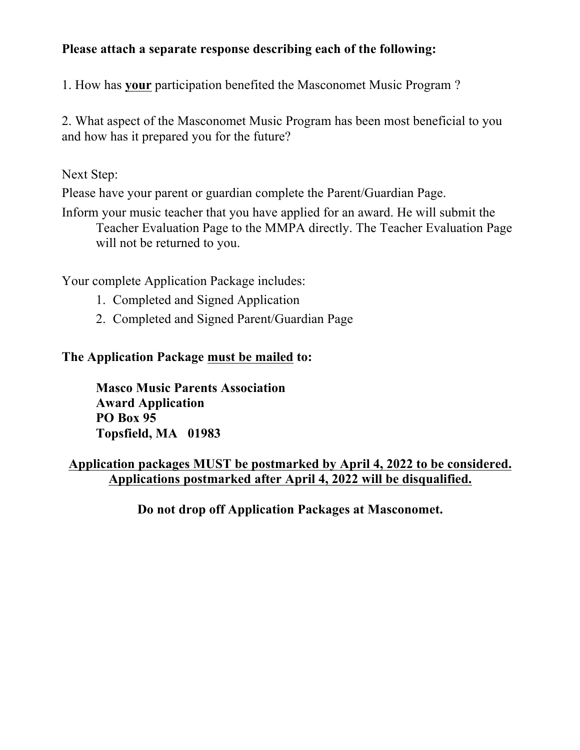# **Please attach a separate response describing each of the following:**

1. How has **your** participation benefited the Masconomet Music Program ?

2. What aspect of the Masconomet Music Program has been most beneficial to you and how has it prepared you for the future?

Next Step:

Please have your parent or guardian complete the Parent/Guardian Page.

Inform your music teacher that you have applied for an award. He will submit the Teacher Evaluation Page to the MMPA directly. The Teacher Evaluation Page will not be returned to you.

Your complete Application Package includes:

- 1. Completed and Signed Application
- 2. Completed and Signed Parent/Guardian Page

## **The Application Package must be mailed to:**

**Masco Music Parents Association Award Application PO Box 95 Topsfield, MA 01983**

# **Application packages MUST be postmarked by April 4, 2022 to be considered. Applications postmarked after April 4, 2022 will be disqualified.**

**Do not drop off Application Packages at Masconomet.**